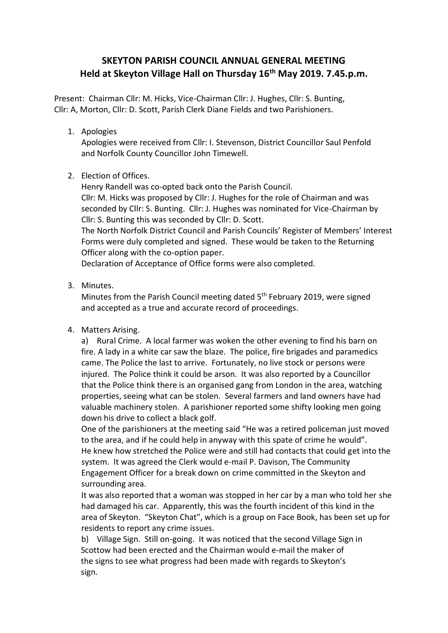# **SKEYTON PARISH COUNCIL ANNUAL GENERAL MEETING Held at Skeyton Village Hall on Thursday 16th May 2019. 7.45.p.m.**

Present: Chairman Cllr: M. Hicks, Vice-Chairman Cllr: J. Hughes, Cllr: S. Bunting, Cllr: A, Morton, Cllr: D. Scott, Parish Clerk Diane Fields and two Parishioners.

1. Apologies

Apologies were received from Cllr: I. Stevenson, District Councillor Saul Penfold and Norfolk County Councillor John Timewell.

2. Election of Offices.

Henry Randell was co-opted back onto the Parish Council. Cllr: M. Hicks was proposed by Cllr: J. Hughes for the role of Chairman and was seconded by Cllr: S. Bunting. Cllr: J. Hughes was nominated for Vice-Chairman by Cllr: S. Bunting this was seconded by Cllr: D. Scott. The North Norfolk District Council and Parish Councils' Register of Members' Interest Forms were duly completed and signed. These would be taken to the Returning

Officer along with the co-option paper.

Declaration of Acceptance of Office forms were also completed.

3. Minutes.

Minutes from the Parish Council meeting dated 5<sup>th</sup> February 2019, were signed and accepted as a true and accurate record of proceedings.

4. Matters Arising.

a) Rural Crime. A local farmer was woken the other evening to find his barn on fire. A lady in a white car saw the blaze. The police, fire brigades and paramedics came. The Police the last to arrive. Fortunately, no live stock or persons were injured. The Police think it could be arson. It was also reported by a Councillor that the Police think there is an organised gang from London in the area, watching properties, seeing what can be stolen. Several farmers and land owners have had valuable machinery stolen. A parishioner reported some shifty looking men going down his drive to collect a black golf.

One of the parishioners at the meeting said "He was a retired policeman just moved to the area, and if he could help in anyway with this spate of crime he would". He knew how stretched the Police were and still had contacts that could get into the system. It was agreed the Clerk would e-mail P. Davison, The Community Engagement Officer for a break down on crime committed in the Skeyton and surrounding area.

It was also reported that a woman was stopped in her car by a man who told her she had damaged his car. Apparently, this was the fourth incident of this kind in the area of Skeyton. "Skeyton Chat", which is a group on Face Book, has been set up for residents to report any crime issues.

b) Village Sign. Still on-going. It was noticed that the second Village Sign in Scottow had been erected and the Chairman would e-mail the maker of the signs to see what progress had been made with regards to Skeyton's sign.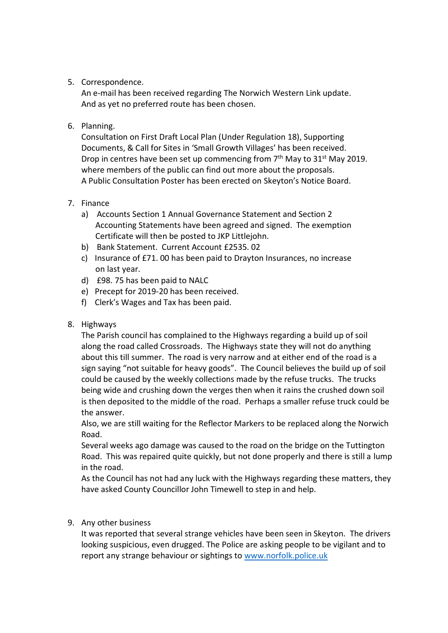## 5. Correspondence.

An e-mail has been received regarding The Norwich Western Link update. And as yet no preferred route has been chosen.

## 6. Planning.

Consultation on First Draft Local Plan (Under Regulation 18), Supporting Documents, & Call for Sites in 'Small Growth Villages' has been received. Drop in centres have been set up commencing from  $7<sup>th</sup>$  May to  $31<sup>st</sup>$  May 2019. where members of the public can find out more about the proposals. A Public Consultation Poster has been erected on Skeyton's Notice Board.

#### 7. Finance

- a) Accounts Section 1 Annual Governance Statement and Section 2 Accounting Statements have been agreed and signed. The exemption Certificate will then be posted to JKP Littlejohn.
- b) Bank Statement. Current Account £2535. 02
- c) Insurance of £71. 00 has been paid to Drayton Insurances, no increase on last year.
- d) £98. 75 has been paid to NALC
- e) Precept for 2019-20 has been received.
- f) Clerk's Wages and Tax has been paid.

#### 8. Highways

The Parish council has complained to the Highways regarding a build up of soil along the road called Crossroads. The Highways state they will not do anything about this till summer. The road is very narrow and at either end of the road is a sign saying "not suitable for heavy goods". The Council believes the build up of soil could be caused by the weekly collections made by the refuse trucks. The trucks being wide and crushing down the verges then when it rains the crushed down soil is then deposited to the middle of the road. Perhaps a smaller refuse truck could be the answer.

Also, we are still waiting for the Reflector Markers to be replaced along the Norwich Road.

Several weeks ago damage was caused to the road on the bridge on the Tuttington Road. This was repaired quite quickly, but not done properly and there is still a lump in the road.

As the Council has not had any luck with the Highways regarding these matters, they have asked County Councillor John Timewell to step in and help.

## 9. Any other business

It was reported that several strange vehicles have been seen in Skeyton. The drivers looking suspicious, even drugged. The Police are asking people to be vigilant and to report any strange behaviour or sightings to [www.norfolk.police.uk](http://www.norfolk.police.uk/)